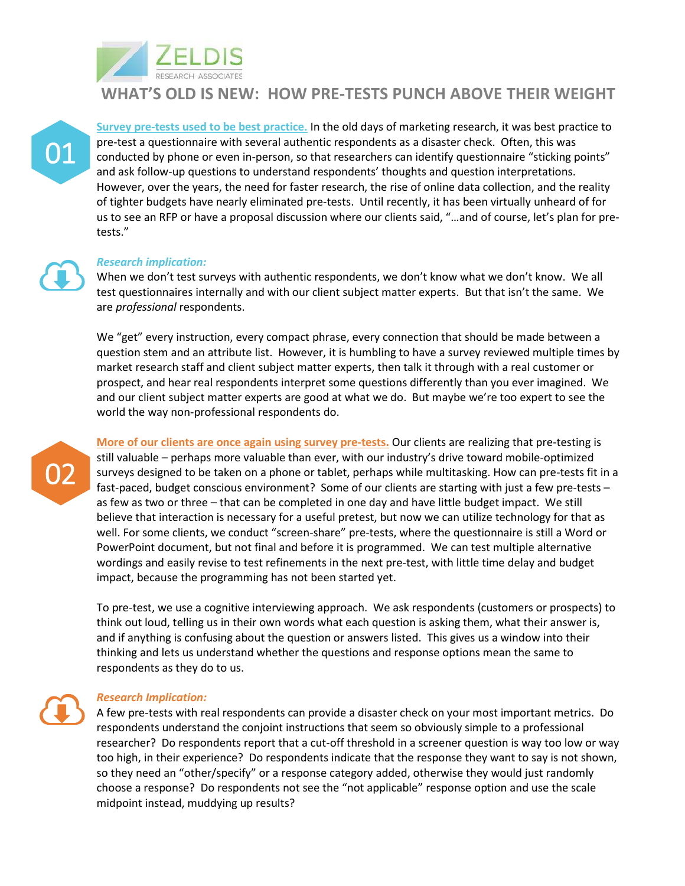

## **WHAT'S OLD IS NEW: HOW PRE-TESTS PUNCH ABOVE THEIR WEIGHT**

01

**Survey pre-tests used to be best practice.** In the old days of marketing research, it was best practice to pre-test a questionnaire with several authentic respondents as a disaster check. Often, this was conducted by phone or even in-person, so that researchers can identify questionnaire "sticking points" and ask follow-up questions to understand respondents' thoughts and question interpretations. However, over the years, the need for faster research, the rise of online data collection, and the reality of tighter budgets have nearly eliminated pre-tests. Until recently, it has been virtually unheard of for us to see an RFP or have a proposal discussion where our clients said, "…and of course, let's plan for pretests."



02

## *Research implication:*

When we don't test surveys with authentic respondents, we don't know what we don't know. We all test questionnaires internally and with our client subject matter experts. But that isn't the same. We are *professional* respondents.

We "get" every instruction, every compact phrase, every connection that should be made between a question stem and an attribute list. However, it is humbling to have a survey reviewed multiple times by market research staff and client subject matter experts, then talk it through with a real customer or prospect, and hear real respondents interpret some questions differently than you ever imagined. We and our client subject matter experts are good at what we do. But maybe we're too expert to see the world the way non-professional respondents do.

**More of our clients are once again using survey pre-tests.** Our clients are realizing that pre-testing is still valuable – perhaps more valuable than ever, with our industry's drive toward mobile-optimized surveys designed to be taken on a phone or tablet, perhaps while multitasking. How can pre-tests fit in a fast-paced, budget conscious environment? Some of our clients are starting with just a few pre-tests – as few as two or three – that can be completed in one day and have little budget impact. We still believe that interaction is necessary for a useful pretest, but now we can utilize technology for that as well. For some clients, we conduct "screen-share" pre-tests, where the questionnaire is still a Word or PowerPoint document, but not final and before it is programmed. We can test multiple alternative wordings and easily revise to test refinements in the next pre-test, with little time delay and budget impact, because the programming has not been started yet.

To pre-test, we use a cognitive interviewing approach. We ask respondents (customers or prospects) to think out loud, telling us in their own words what each question is asking them, what their answer is, and if anything is confusing about the question or answers listed. This gives us a window into their thinking and lets us understand whether the questions and response options mean the same to respondents as they do to us.



## *Research Implication:*

A few pre-tests with real respondents can provide a disaster check on your most important metrics. Do respondents understand the conjoint instructions that seem so obviously simple to a professional researcher? Do respondents report that a cut-off threshold in a screener question is way too low or way too high, in their experience? Do respondents indicate that the response they want to say is not shown, so they need an "other/specify" or a response category added, otherwise they would just randomly choose a response? Do respondents not see the "not applicable" response option and use the scale midpoint instead, muddying up results?